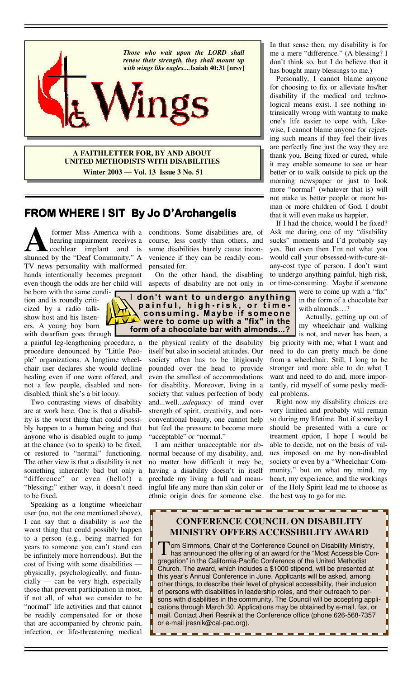

**A FAITHLETTER FOR, BY AND ABOUT UNITED METHODISTS WITH DISABILITIES Winter 2003 — Vol. 13 Issue 3 No. 51**

# **FROM WHERE I SIT FROM WHERE I SIT By Jo D'Archangelis D'Archangelis D'Archangelis**

**A former Miss America with a hearing impairment receives a cochlear implant** and **is shunned** by the "Deaf Community" A hearing impairment receives a cochlear implant and is shunned by the "Deaf Community." A TV news personality with malformed hands intentionally becomes pregnant

be born with the same condition and is roundly criticized by a radio talkshow host and his listeners. A young boy born with dwarfism goes through

a painful leg-lengthening procedure, a procedure denounced by "Little People" organizations. A longtime wheelchair user declares she would decline healing even if one were offered, and not a few people, disabled and nondisabled, think she's a bit loony.

 Two contrasting views of disability are at work here. One is that a disability is the worst thing that could possibly happen to a human being and that anyone who is disabled ought to jump at the chance (so to speak) to be fixed, or restored to "normal" functioning. The other view is that a disability is not something inherently bad but only a "difference" or even (hello!) a "blessing;" either way, it doesn't need to be fixed.

 Speaking as a longtime wheelchair user (no, not the one mentioned above), I can say that a disability is *not* the worst thing that could possibly happen to a person (e.g., being married for years to someone you can't stand can be infinitely more horrendous). But the cost of living with some disabilities physically, psychologically, and financially — can be very high, especially those that prevent participation in most, if not all, of what we consider to be "normal" life activities and that cannot be readily compensated for or those that are accompanied by chronic pain, infection, or life-threatening medical

former Miss America with a conditions. Some disabilities are, of course, less costly than others, and some disabilities barely cause inconvenience if they can be readily compensated for.

 On the other hand, the disabling even though the odds are her child will aspects of disability are not only in



the physical reality of the disability itself but also in societal attitudes. Our society often has to be litigiously pounded over the head to provide even the smallest of accommodations for disability. Moreover, living in a society that values perfection of body and...well...*adequacy* of mind over strength of spirit, creativity, and nonconventional beauty, one cannot help but feel the pressure to become more "acceptable" or "normal."

 I am neither unacceptable nor abnormal because of my disability, and, no matter how difficult it may be, having a disability doesn't in itself preclude my living a full and meaningful life any more than skin color or ethnic origin does for someone else. In that sense then, my disability is for me a mere "difference." (A blessing? I don't think so, but I do believe that it has bought many blessings to me.)

 Personally, I cannot blame anyone for choosing to fix or alleviate his/her disability if the medical and technological means exist. I see nothing intrinsically wrong with wanting to make one's life easier to cope with. Likewise, I cannot blame anyone for rejecting such means if they feel their lives are perfectly fine just the way they are thank you. Being fixed or cured, while it may enable someone to see or hear better or to walk outside to pick up the morning newspaper or just to look more "normal" (whatever that is) will not make us better people or more human or more children of God. I doubt that it will even make us happier.

 If I had the choice, would I be fixed? Ask me during one of my "disability sucks" moments and I'd probably say yes. But even then I'm not what you would call your obsessed-with-cure-atany-cost type of person. I don't want to undergo anything painful, high risk, or time-consuming. Maybe if someone

> were to come up with a "fix" in the form of a chocolate bar with almonds…?

> Actually, getting up out of my wheelchair and walking

is not, and never has been, a big priority with me; what I want and need to do can pretty much be done from a wheelchair. Still, I long to be stronger and more able to do what I want and need to do and, more importantly, rid myself of some pesky medical problems.

 Right now my disability choices are very limited and probably will remain so during my lifetime. But if someday I should be presented with a cure or treatment option, I hope I would be able to decide, not on the basis of values imposed on me by non-disabled society or even by a "Wheelchair Community," but on what my mind, my heart, my experience, and the workings of the Holy Spirit lead me to choose as the best way to go for me.

## **CONFERENCE COUNCIL ON DISABILITY MINISTRY OFFERS ACCESSIBILITY AWARD**

Tom Simmons, Chair of the Conference Council on Disability Ministry,<br>has announced the offering of an award for the "Most Accessible Con-<br>menation" in the Colifernia Decitie Conference of the United Mathediat gregation" in the California-Pacific Conference of the United Methodist Church. The award, which includes a \$1000 stipend, will be presented at this year's Annual Conference in June. Applicants will be asked, among other things, to describe their level of physical accessibility, their inclusion of persons with disabilities in leadership roles, and their outreach to persons with disabilities in the community. The Council will be accepting applications through March 30. Applications may be obtained by e-mail, fax, or mail. Contact Jheri Resnik at the Conference office (phone 626-568-7357 or e-mail jresnik@cal-pac.org).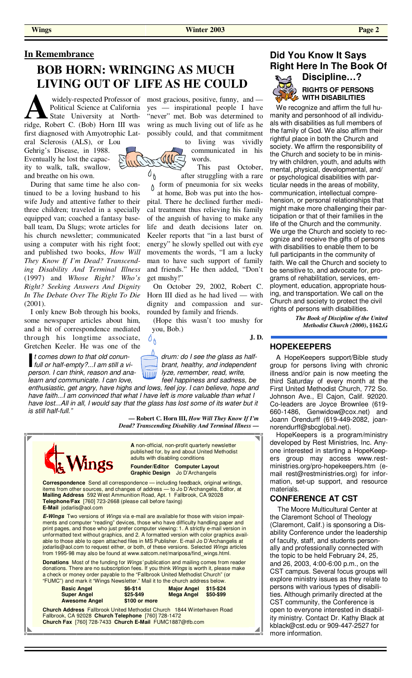### **In Remembrance**

# **BOB HORN: WRINGING AS MUCH LIVING OUT OF LIFE AS HE COULD**

widely-respected Professor of<br>
Political Science at California<br>
State University at North-<br>
ridge, Robert C. (Bob) Horn III was Political Science at California State University at Northfirst diagnosed with Amyotrophic Lat-

eral Sclerosis (ALS), or Lou Gehrig's Disease, in 1988. Eventually he lost the capacity to walk, talk, swallow, and breathe on his own.

 During that same time he also continued to be a loving husband to his wife Judy and attentive father to their three children; traveled in a specially equipped van; coached a fantasy baseball team, Da Slugs; wrote articles for his church newsletter; communicated using a computer with his right foot; and published two books, *How Will They Know If I'm Dead? Transcending Disability And Terminal Illness* (1997) and *Whose Right? Who's Right? Seeking Answers And Dignity In The Debate Over The Right To Die* (2001).

 I only knew Bob through his books, some newspaper articles about him, and a bit of correspondence mediated through his longtime associate, Gretchen Keeler. He was one of the

*I comes down to that old conun-* drum: do I see the glass as half-<br> *full or half-empty?...I am still a vi-* prant, healthy, and independent *person. I can think, reason and ana- lyze, remember, read, write, learn and communicate. I can love, if the lappiness and sadness, be learn and communicate. I can love,* 

*enthusiastic, get angry, have highs and lows, feel joy. I can believe, hope and have faith...I am convinced that what I have left is more valuable than what I*  have lost...All in all, I would say that the glass has lost some of its water but it *is still half-full."* 

 $0_{\mathcal{O}}$ 

**— Robert C. Horn III,** *How Will They Know If I'm Dead? Transcending Disability And Terminal Illness* **—** 



widely-respected Professor of most gracious, positive, funny, and yes — inspirational people I have "never" met. Bob was determined to wring as much living out of life as he possibly could, and that commitment

> to living was vividly communicated in his words.

 This past October,  $\delta_{\mathfrak{h}}$ after struggling with a rare form of pneumonia for six weeks

Ô. at home, Bob was put into the hospital. There he declined further medical treatment thus relieving his family of the anguish of having to make any life and death decisions later on. Keeler reports that "in a last burst of energy" he slowly spelled out with eye movements the words, "I am a lucky man to have such support of family and friends." He then added, "Don't get mushy!"

 On October 29, 2002, Robert C. Horn III died as he had lived — with dignity and compassion and surrounded by family and friends.

 (Hope this wasn't too mushy for you, Bob.)

**J. D.**

#### als with disabilities as full members of the family of God. We also affirm their rightful place in both the Church and

**Did You Know It Says** 

**Right Here In The Book Of Discipline…?** 

**RIGHTS OF PERSONS WITH DISABILITIES** We recognize and affirm the full humanity and personhood of all individu-

society. We affirm the responsibility of the Church and society to be in ministry with children, youth, and adults with mental, physical, developmental, and/ or psychological disabilities with particular needs in the areas of mobility, communication, intellectual comprehension, or personal relationships that might make more challenging their participation or that of their families in the life of the Church and the community. We urge the Church and society to recognize and receive the gifts of persons with disabilities to enable them to be full participants in the community of faith. We call the Church and society to be sensitive to, and advocate for, programs of rehabilitation, services, employment, education, appropriate housing, and transportation. We call on the Church and society to protect the civil rights of persons with disabilities.

> *The Book of Discipline of the United Methodist Church (2000)***, §162.G**

#### **HOPEKEEPERS**

 A HopeKeepers support/Bible study group for persons living with chronic illness and/or pain is now meeting the third Saturday of every month at the First United Methodist Church, 772 So. Johnson Ave., El Cajon, Calif. 92020. Co-leaders are Joyce Brownlee (619- 660-1486, Genwidow@cox.net) and Joann Orendurff (619-449-2082, joannorendurff@sbcglobal.net).

 HopeKeepers is a program/ministry developed by Rest Ministries, Inc. Anyone interested in starting a HopeKeepers group may access www.restministries.org/pro-hopekeepers.htm (email rest@restministries.org) for information, set-up support, and resource materials.

#### **CONFERENCE AT CST**

 The Moore Multicultural Center at the Claremont School of Theology (Claremont, Calif.) is sponsoring a Disability Conference under the leadership of faculty, staff, and students personally and professionally connected with the topic to be held February 24, 25, and 26, 2003, 4:00-6:00 p.m., on the CST campus. Several focus groups will explore ministry issues as they relate to persons with various types of disabilities. Although primarily directed at the CST community, the Conference is open to everyone interested in disability ministry. Contact Dr. Kathy Black at kblack@cst.edu or 909-447-2527 for more information.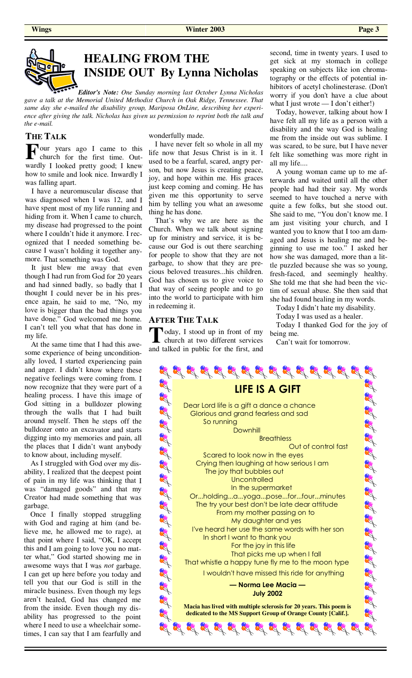

*Editor's Note: One Sunday morning last October Lynna Nicholas gave a talk at the Memorial United Methodist Church in Oak Ridge, Tennessee. That same day she e-mailed the disability group, Mariposa OnLine, describing her experience after giving the talk. Nicholas has given us permission to reprint both the talk and the e-mail.*

### **THE TALK**

**F** our years ago I came to this church for the first time. Outchurch for the first time. Outwardly I looked pretty good; I knew how to smile and look nice. Inwardly I was falling apart.

I have <sup>a</sup> neuromuscular disease that was diagnosed when I was 12, and I have spent most of my life running and hiding from it. When I came to church, my disease had progressed to the point where I couldn't hide it anymore. I recognized that I needed something because I wasn't holding it together anymore. That something was God.

It just blew me away that even though I had run from God for 20 years and had sinned badly, so badly that I thought I could never be in his presence again, he said to me, "No, my love is bigger than the bad things you have done." God welcomed me home. I can't tell you what that has done in my life.

At the same time that I had this awesome experience of being unconditionally loved, I started experiencing pain and anger. I didn't know where these negative feelings were coming from. I now recognize that they were par<sup>t</sup> of <sup>a</sup> healing process. I have this image of God sitting in <sup>a</sup> bulldozer plowing through the walls that I had built around myself. Then he steps off the bulldozer onto an excavator and starts digging into my memories and pain, all the places that I didn't want anybody to know about, including myself.

As I struggled with God over my disability, I realized that the deepest point of pain in my life was thinking that I was "damaged goods" and that my Creator had made something that was garbage.

Once I finally stopped struggling with God and raging at him (and believe me, he allowed me to rage), at that point where I said, "OK, I accept this and I am going to love you no matter what," God started showing me in awesome ways that I was *not* garbage. I can get up here before you today and tell you that our God is still in the miracle business. Even though my legs aren't healed, God has changed me from the inside. Even though my disability has progressed to the point where I need to use <sup>a</sup> wheelchair sometimes, I can say that I am fearfully and

wonderfully made.

 I have never felt so whole in all my life now that Jesus Christ is in it. I used to be a fearful, scared, angry person, but now Jesus is creating peace, joy, and hope within me. His graces just keep coming and coming. He has given me this opportunity to serve him by telling you what an awesome thing he has done.

 That's why we are here as the Church. When we talk about signing up for ministry and service, it is because our God is out there searching for people to show that they are not garbage, to show that they are precious beloved treasures...his children. God has chosen us to give voice to that way of seeing people and to go into the world to participate with him in redeeming it.

### **AFTER THE TALK**

**T** oday, I stood up in front of my church at two different services and talked in public for the first, and

second, time in twenty years. I used to get sick at my stomach in college speaking on subjects like ion chromatography or the effects of potential inhibitors of acetyl cholinesterase. (Don't worry if you don't have a clue about what I just wrote  $\frac{1}{\text{dom} \cdot \text{t}}$  either!)

 Today, however, talking about how I have felt all my life as a person with a disability and the way God is healing me from the inside out was sublime. I was scared, to be sure, but I have never felt like something was more right in all my life....

 A young woman came up to me afterwards and waited until all the other people had had their say. My words seemed to have touched a nerve with quite a few folks, but she stood out. She said to me, "You don't know me. I am just visiting your church, and I wanted you to know that I too am damaged and Jesus is healing me and beginning to use me too." I asked her how she was damaged, more than a little puzzled because she was so young, fresh-faced, and seemingly healthy. She told me that she had been the victim of sexual abuse. She then said that she had found healing in my words.

Today I didn't hate my disability.

Today I was used as a healer.

 Today I thanked God for the joy of being me.

Can't wait for tomorrow.